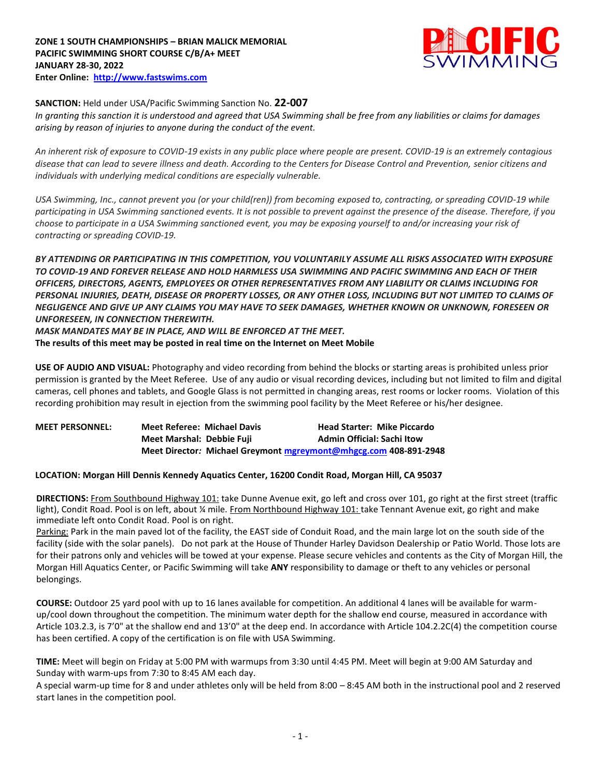

# **SANCTION:** Held under USA/Pacific Swimming Sanction No. **22-007**

*In granting this sanction it is understood and agreed that USA Swimming shall be free from any liabilities or claims for damages arising by reason of injuries to anyone during the conduct of the event.* 

*An inherent risk of exposure to COVID-19 exists in any public place where people are present. COVID-19 is an extremely contagious disease that can lead to severe illness and death. According to the Centers for Disease Control and Prevention, senior citizens and individuals with underlying medical conditions are especially vulnerable.*

*USA Swimming, Inc., cannot prevent you (or your child(ren)) from becoming exposed to, contracting, or spreading COVID-19 while participating in USA Swimming sanctioned events. It is not possible to prevent against the presence of the disease. Therefore, if you choose to participate in a USA Swimming sanctioned event, you may be exposing yourself to and/or increasing your risk of contracting or spreading COVID-19.*

*BY ATTENDING OR PARTICIPATING IN THIS COMPETITION, YOU VOLUNTARILY ASSUME ALL RISKS ASSOCIATED WITH EXPOSURE TO COVID-19 AND FOREVER RELEASE AND HOLD HARMLESS USA SWIMMING AND PACIFIC SWIMMING AND EACH OF THEIR OFFICERS, DIRECTORS, AGENTS, EMPLOYEES OR OTHER REPRESENTATIVES FROM ANY LIABILITY OR CLAIMS INCLUDING FOR PERSONAL INJURIES, DEATH, DISEASE OR PROPERTY LOSSES, OR ANY OTHER LOSS, INCLUDING BUT NOT LIMITED TO CLAIMS OF NEGLIGENCE AND GIVE UP ANY CLAIMS YOU MAY HAVE TO SEEK DAMAGES, WHETHER KNOWN OR UNKNOWN, FORESEEN OR UNFORESEEN, IN CONNECTION THEREWITH.*

*MASK MANDATES MAY BE IN PLACE, AND WILL BE ENFORCED AT THE MEET.*

**The results of this meet may be posted in real time on the Internet on Meet Mobile**

**USE OF AUDIO AND VISUAL:** Photography and video recording from behind the blocks or starting areas is prohibited unless prior permission is granted by the Meet Referee. Use of any audio or visual recording devices, including but not limited to film and digital cameras, cell phones and tablets, and Google Glass is not permitted in changing areas, rest rooms or locker rooms. Violation of this recording prohibition may result in ejection from the swimming pool facility by the Meet Referee or his/her designee.

| <b>MEET PERSONNEL:</b> | <b>Meet Referee: Michael Davis</b> | <b>Head Starter: Mike Piccardo</b>                               |
|------------------------|------------------------------------|------------------------------------------------------------------|
|                        | Meet Marshal: Debbie Fuji          | <b>Admin Official: Sachi Itow</b>                                |
|                        |                                    | Meet Director: Michael Greymont mgreymont@mhgcg.com 408-891-2948 |

# **LOCATION: Morgan Hill Dennis Kennedy Aquatics Center, 16200 Condit Road, Morgan Hill, CA 95037**

**DIRECTIONS:** From Southbound Highway 101: take Dunne Avenue exit, go left and cross over 101, go right at the first street (traffic light), Condit Road. Pool is on left, about ¼ mile. From Northbound Highway 101: take Tennant Avenue exit, go right and make immediate left onto Condit Road. Pool is on right.

Parking: Park in the main paved lot of the facility, the EAST side of Conduit Road, and the main large lot on the south side of the facility (side with the solar panels). Do not park at the House of Thunder Harley Davidson Dealership or Patio World. Those lots are for their patrons only and vehicles will be towed at your expense. Please secure vehicles and contents as the City of Morgan Hill, the Morgan Hill Aquatics Center, or Pacific Swimming will take **ANY** responsibility to damage or theft to any vehicles or personal belongings.

**COURSE:** Outdoor 25 yard pool with up to 16 lanes available for competition. An additional 4 lanes will be available for warmup/cool down throughout the competition. The minimum water depth for the shallow end course, measured in accordance with Article 103.2.3, is 7'0" at the shallow end and 13'0" at the deep end. In accordance with Article 104.2.2C(4) the competition course has been certified. A copy of the certification is on file with USA Swimming.

**TIME:** Meet will begin on Friday at 5:00 PM with warmups from 3:30 until 4:45 PM. Meet will begin at 9:00 AM Saturday and Sunday with warm-ups from 7:30 to 8:45 AM each day.

A special warm-up time for 8 and under athletes only will be held from 8:00 – 8:45 AM both in the instructional pool and 2 reserved start lanes in the competition pool.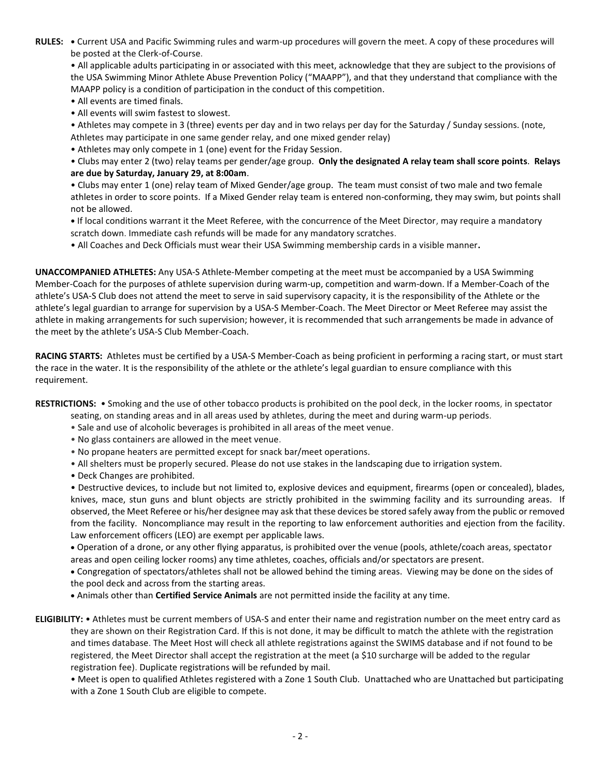**RULES: •** Current USA and Pacific Swimming rules and warm-up procedures will govern the meet. A copy of these procedures will be posted at the Clerk-of-Course.

• All applicable adults participating in or associated with this meet, acknowledge that they are subject to the provisions of the USA Swimming Minor Athlete Abuse Prevention Policy ("MAAPP"), and that they understand that compliance with the MAAPP policy is a condition of participation in the conduct of this competition.

- All events are timed finals.
- All events will swim fastest to slowest.

• Athletes may compete in 3 (three) events per day and in two relays per day for the Saturday / Sunday sessions. (note, Athletes may participate in one same gender relay, and one mixed gender relay)

• Athletes may only compete in 1 (one) event for the Friday Session.

• Clubs may enter 2 (two) relay teams per gender/age group. **Only the designated A relay team shall score points**. **Relays are due by Saturday, January 29, at 8:00am**.

• Clubs may enter 1 (one) relay team of Mixed Gender/age group. The team must consist of two male and two female athletes in order to score points. If a Mixed Gender relay team is entered non-conforming, they may swim, but points shall not be allowed.

**•** If local conditions warrant it the Meet Referee, with the concurrence of the Meet Director, may require a mandatory scratch down. Immediate cash refunds will be made for any mandatory scratches.

• All Coaches and Deck Officials must wear their USA Swimming membership cards in a visible manner**.** 

**UNACCOMPANIED ATHLETES:** Any USA-S Athlete-Member competing at the meet must be accompanied by a USA Swimming Member-Coach for the purposes of athlete supervision during warm-up, competition and warm-down. If a Member-Coach of the athlete's USA-S Club does not attend the meet to serve in said supervisory capacity, it is the responsibility of the Athlete or the athlete's legal guardian to arrange for supervision by a USA-S Member-Coach. The Meet Director or Meet Referee may assist the athlete in making arrangements for such supervision; however, it is recommended that such arrangements be made in advance of the meet by the athlete's USA-S Club Member-Coach.

**RACING STARTS:** Athletes must be certified by a USA-S Member-Coach as being proficient in performing a racing start, or must start the race in the water. It is the responsibility of the athlete or the athlete's legal guardian to ensure compliance with this requirement.

**RESTRICTIONS:** • Smoking and the use of other tobacco products is prohibited on the pool deck, in the locker rooms, in spectator

- seating, on standing areas and in all areas used by athletes, during the meet and during warm-up periods.
- Sale and use of alcoholic beverages is prohibited in all areas of the meet venue.
- No glass containers are allowed in the meet venue.
- No propane heaters are permitted except for snack bar/meet operations.
- All shelters must be properly secured. Please do not use stakes in the landscaping due to irrigation system.
- Deck Changes are prohibited.

• Destructive devices, to include but not limited to, explosive devices and equipment, firearms (open or concealed), blades, knives, mace, stun guns and blunt objects are strictly prohibited in the swimming facility and its surrounding areas. If observed, the Meet Referee or his/her designee may ask that these devices be stored safely away from the public or removed from the facility. Noncompliance may result in the reporting to law enforcement authorities and ejection from the facility. Law enforcement officers (LEO) are exempt per applicable laws.

 Operation of a drone, or any other flying apparatus, is prohibited over the venue (pools, athlete/coach areas, spectator areas and open ceiling locker rooms) any time athletes, coaches, officials and/or spectators are present.

 Congregation of spectators/athletes shall not be allowed behind the timing areas. Viewing may be done on the sides of the pool deck and across from the starting areas.

Animals other than **Certified Service Animals** are not permitted inside the facility at any time.

**ELIGIBILITY:** • Athletes must be current members of USA-S and enter their name and registration number on the meet entry card as they are shown on their Registration Card. If this is not done, it may be difficult to match the athlete with the registration and times database. The Meet Host will check all athlete registrations against the SWIMS database and if not found to be registered, the Meet Director shall accept the registration at the meet (a \$10 surcharge will be added to the regular registration fee). Duplicate registrations will be refunded by mail.

• Meet is open to qualified Athletes registered with a Zone 1 South Club. Unattached who are Unattached but participating with a Zone 1 South Club are eligible to compete.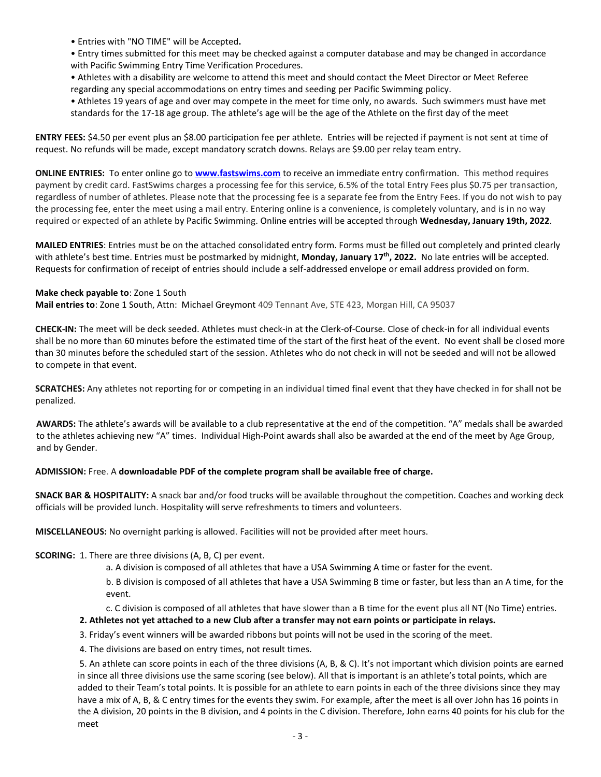- Entries with "NO TIME" will be Accepted**.**
- Entry times submitted for this meet may be checked against a computer database and may be changed in accordance with Pacific Swimming Entry Time Verification Procedures.
- Athletes with a disability are welcome to attend this meet and should contact the Meet Director or Meet Referee regarding any special accommodations on entry times and seeding per Pacific Swimming policy.
- Athletes 19 years of age and over may compete in the meet for time only, no awards. Such swimmers must have met standards for the 17-18 age group. The athlete's age will be the age of the Athlete on the first day of the meet

**ENTRY FEES:** \$4.50 per event plus an \$8.00 participation fee per athlete. Entries will be rejected if payment is not sent at time of request. No refunds will be made, except mandatory scratch downs. Relays are \$9.00 per relay team entry.

**ONLINE ENTRIES:** To enter online go to **[www.fastswims.com](http://www.fastswims.com/)** to receive an immediate entry confirmation. This method requires payment by credit card. FastSwims charges a processing fee for this service, 6.5% of the total Entry Fees plus \$0.75 per transaction, regardless of number of athletes. Please note that the processing fee is a separate fee from the Entry Fees. If you do not wish to pay the processing fee, enter the meet using a mail entry. Entering online is a convenience, is completely voluntary, and is in no way required or expected of an athlete by Pacific Swimming. Online entries will be accepted through **Wednesday, January 19th, 2022**.

**MAILED ENTRIES**: Entries must be on the attached consolidated entry form. Forms must be filled out completely and printed clearly with athlete's best time. Entries must be postmarked by midnight, **Monday, January 17th, 2022.** No late entries will be accepted. Requests for confirmation of receipt of entries should include a self-addressed envelope or email address provided on form.

#### **Make check payable to**: Zone 1 South

**Mail entries to**: Zone 1 South, Attn: Michael Greymont 409 Tennant Ave, STE 423, Morgan Hill, CA 95037

**CHECK-IN:** The meet will be deck seeded. Athletes must check-in at the Clerk-of-Course. Close of check-in for all individual events shall be no more than 60 minutes before the estimated time of the start of the first heat of the event. No event shall be closed more than 30 minutes before the scheduled start of the session. Athletes who do not check in will not be seeded and will not be allowed to compete in that event.

**SCRATCHES:** Any athletes not reporting for or competing in an individual timed final event that they have checked in for shall not be penalized.

**AWARDS:** The athlete's awards will be available to a club representative at the end of the competition. "A" medals shall be awarded to the athletes achieving new "A" times. Individual High-Point awards shall also be awarded at the end of the meet by Age Group, and by Gender.

# **ADMISSION:** Free. A **downloadable PDF of the complete program shall be available free of charge.**

**SNACK BAR & HOSPITALITY:** A snack bar and/or food trucks will be available throughout the competition. Coaches and working deck officials will be provided lunch. Hospitality will serve refreshments to timers and volunteers.

**MISCELLANEOUS:** No overnight parking is allowed. Facilities will not be provided after meet hours.

# **SCORING:** 1. There are three divisions (A, B, C) per event.

a. A division is composed of all athletes that have a USA Swimming A time or faster for the event.

b. B division is composed of all athletes that have a USA Swimming B time or faster, but less than an A time, for the event.

c. C division is composed of all athletes that have slower than a B time for the event plus all NT (No Time) entries.

#### **2. Athletes not yet attached to a new Club after a transfer may not earn points or participate in relays.**

3. Friday's event winners will be awarded ribbons but points will not be used in the scoring of the meet.

4. The divisions are based on entry times, not result times.

 5. An athlete can score points in each of the three divisions (A, B, & C). It's not important which division points are earned in since all three divisions use the same scoring (see below). All that is important is an athlete's total points, which are added to their Team's total points. It is possible for an athlete to earn points in each of the three divisions since they may have a mix of A, B, & C entry times for the events they swim. For example, after the meet is all over John has 16 points in the A division, 20 points in the B division, and 4 points in the C division. Therefore, John earns 40 points for his club for the meet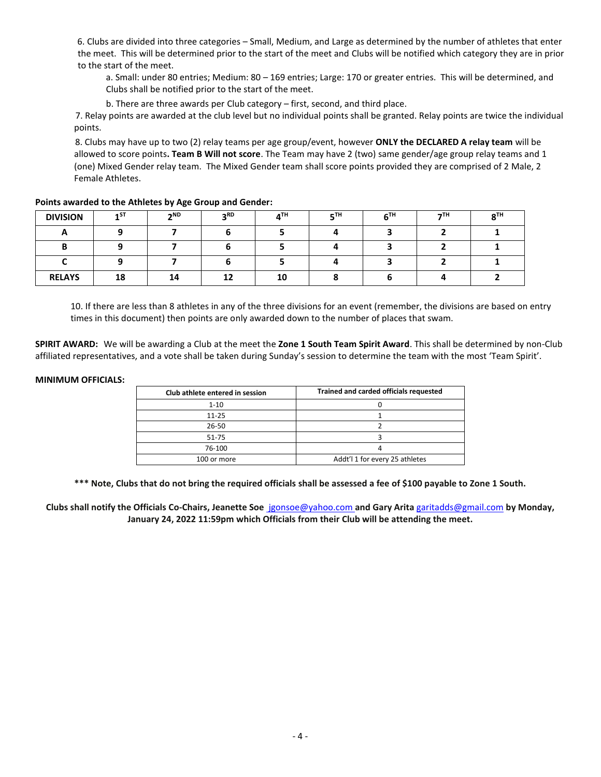6. Clubs are divided into three categories – Small, Medium, and Large as determined by the number of athletes that enter the meet. This will be determined prior to the start of the meet and Clubs will be notified which category they are in prior to the start of the meet.

a. Small: under 80 entries; Medium: 80 – 169 entries; Large: 170 or greater entries. This will be determined, and Clubs shall be notified prior to the start of the meet.

b. There are three awards per Club category – first, second, and third place.

 7. Relay points are awarded at the club level but no individual points shall be granted. Relay points are twice the individual points.

 8. Clubs may have up to two (2) relay teams per age group/event, however **ONLY the DECLARED A relay team** will be allowed to score points**. Team B Will not score**. The Team may have 2 (two) same gender/age group relay teams and 1 (one) Mixed Gender relay team. The Mixed Gender team shall score points provided they are comprised of 2 Male, 2 Female Athletes.

| <b>DIVISION</b> | 1 <sup>ST</sup> | 2 <sub>ND</sub> | 2 <sup>RD</sup> | $A^{TH}$ | 5 <sup>TH</sup> | $6^{TH}$ | 7 <sup>TH</sup> | $8^{TH}$ |
|-----------------|-----------------|-----------------|-----------------|----------|-----------------|----------|-----------------|----------|
|                 |                 |                 |                 |          |                 |          |                 |          |
| R               |                 |                 |                 |          |                 |          |                 |          |
|                 |                 |                 |                 |          |                 |          |                 |          |
| <b>RELAYS</b>   | 18              | 14              | 12              | 10       |                 |          |                 |          |

#### **Points awarded to the Athletes by Age Group and Gender:**

10. If there are less than 8 athletes in any of the three divisions for an event (remember, the divisions are based on entry times in this document) then points are only awarded down to the number of places that swam.

**SPIRIT AWARD:** We will be awarding a Club at the meet the **Zone 1 South Team Spirit Award**. This shall be determined by non-Club affiliated representatives, and a vote shall be taken during Sunday's session to determine the team with the most 'Team Spirit'.

#### **MINIMUM OFFICIALS:**

| Club athlete entered in session | Trained and carded officials requested |  |  |  |  |
|---------------------------------|----------------------------------------|--|--|--|--|
| $1 - 10$                        |                                        |  |  |  |  |
| $11 - 25$                       |                                        |  |  |  |  |
| 26-50                           |                                        |  |  |  |  |
| 51-75                           |                                        |  |  |  |  |
| 76-100                          |                                        |  |  |  |  |
| 100 or more                     | Addt'l 1 for every 25 athletes         |  |  |  |  |

**\*\*\* Note, Clubs that do not bring the required officials shall be assessed a fee of \$100 payable to Zone 1 South.**

**Clubs shall notify the Officials Co-Chairs, Jeanette So[e](mailto:jgonsoe@yahoo.com)** [jg](mailto:johnabe@gmail.com)onsoe@yahoo.com **and Gary Arita** [g](mailto:jenmckenn@hotmail.com)[aritadds@gmail.com](mailto:garitadds@gmail.com) **by Monday, January 24, 2022 11:59pm which Officials from their Club will be attending the meet.**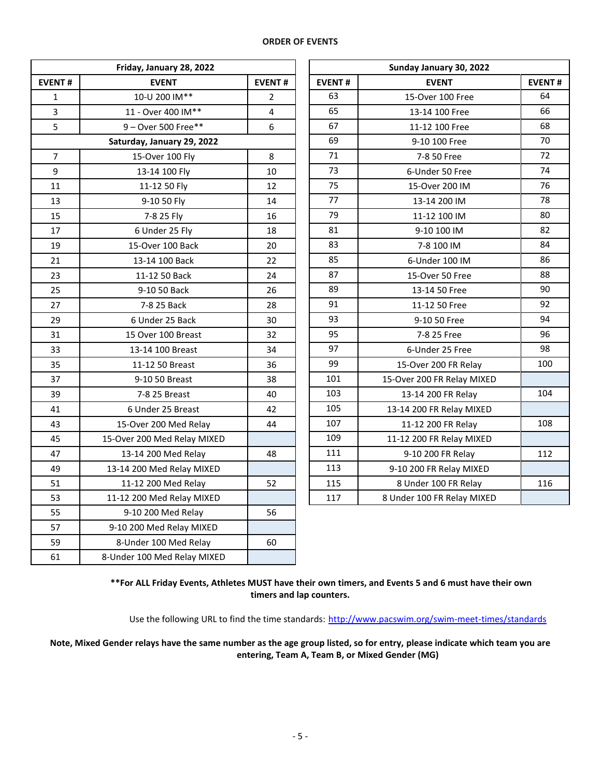#### **ORDER OF EVENTS**

|                | Friday, January 28, 2022    |                | Sunday January 30, 2022 |                            |               |  |  |
|----------------|-----------------------------|----------------|-------------------------|----------------------------|---------------|--|--|
| <b>EVENT#</b>  | <b>EVENT</b>                | <b>EVENT#</b>  | <b>EVENT#</b>           | <b>EVENT</b>               | <b>EVENT#</b> |  |  |
| $\mathbf{1}$   | 10-U 200 IM**               | $\overline{2}$ | 63                      | 15-Over 100 Free           | 64            |  |  |
| 3              | 11 - Over 400 IM**          | 4              | 65                      | 13-14 100 Free             | 66            |  |  |
| 5              | 9 - Over 500 Free**         | 6              | 67                      | 11-12 100 Free             | 68            |  |  |
|                | Saturday, January 29, 2022  |                | 69                      | 9-10 100 Free              | 70            |  |  |
| $\overline{7}$ | 15-Over 100 Fly             | 8              | 71                      | 7-8 50 Free                | 72            |  |  |
| 9              | 13-14 100 Fly               | 10             | 73                      | 6-Under 50 Free            | 74            |  |  |
| 11             | 11-12 50 Fly                | 12             | 75                      | 15-Over 200 IM             | 76            |  |  |
| 13             | 9-10 50 Fly                 | 14             | 77                      | 13-14 200 IM               | 78            |  |  |
| 15             | 7-8 25 Fly                  | 16             | 79                      | 11-12 100 IM               | 80            |  |  |
| 17             | 6 Under 25 Fly              | 18             | 81                      | 9-10 100 IM                | 82            |  |  |
| 19             | 15-Over 100 Back            | 20             | 83                      | 7-8 100 IM                 | 84            |  |  |
| 21             | 13-14 100 Back              | 22             | 85                      | 6-Under 100 IM             | 86            |  |  |
| 23             | 11-12 50 Back               | 24             | 87                      | 15-Over 50 Free            | 88            |  |  |
| 25             | 9-10 50 Back                | 26             | 89                      | 13-14 50 Free              | 90            |  |  |
| 27             | 7-8 25 Back                 | 28             | 91                      | 11-12 50 Free              | 92            |  |  |
| 29             | 6 Under 25 Back             | 30             | 93                      | 9-10 50 Free               | 94            |  |  |
| 31             | 15 Over 100 Breast          | 32             | 95                      | 7-8 25 Free                | 96            |  |  |
| 33             | 13-14 100 Breast            | 34             | 97                      | 6-Under 25 Free            | 98            |  |  |
| 35             | 11-12 50 Breast             | 36             | 99                      | 15-Over 200 FR Relay       | 100           |  |  |
| 37             | 9-10 50 Breast              | 38             | 101                     | 15-Over 200 FR Relay MIXED |               |  |  |
| 39             | 7-8 25 Breast               | 40             | 103                     | 13-14 200 FR Relay         | 104           |  |  |
| 41             | 6 Under 25 Breast           | 42             | 105                     | 13-14 200 FR Relay MIXED   |               |  |  |
| 43             | 15-Over 200 Med Relay       | 44             | 107                     | 11-12 200 FR Relay         | 108           |  |  |
| 45             | 15-Over 200 Med Relay MIXED |                | 109                     | 11-12 200 FR Relay MIXED   |               |  |  |
| 47             | 13-14 200 Med Relay         | 48             | 111                     | 9-10 200 FR Relay          | 112           |  |  |
| 49             | 13-14 200 Med Relay MIXED   |                | 113                     | 9-10 200 FR Relay MIXED    |               |  |  |
| 51             | 11-12 200 Med Relay         | 52             | 115                     | 8 Under 100 FR Relay       | 116           |  |  |
| 53             | 11-12 200 Med Relay MIXED   |                | 117                     | 8 Under 100 FR Relay MIXED |               |  |  |
| 55             | 9-10 200 Med Relay          | 56             |                         |                            |               |  |  |
| 57             | 9-10 200 Med Relay MIXED    |                |                         |                            |               |  |  |
| 59             | 8-Under 100 Med Relay       | 60             |                         |                            |               |  |  |
| 61             | 8-Under 100 Med Relay MIXED |                |                         |                            |               |  |  |

| Friday, January 28, 2022   |                | Sunday January 30, 2022 |                            |               |  |  |  |
|----------------------------|----------------|-------------------------|----------------------------|---------------|--|--|--|
| <b>EVENT</b>               | <b>EVENT#</b>  | <b>EVENT#</b>           | <b>EVENT</b>               | <b>EVENT#</b> |  |  |  |
| 10-U 200 IM**              | $\overline{2}$ | 63                      | 15-Over 100 Free           | 64            |  |  |  |
| 11 - Over 400 IM**         | $\overline{4}$ | 65                      | 13-14 100 Free             | 66            |  |  |  |
| 9-Over 500 Free**          | 6              | 67                      | 11-12 100 Free             | 68            |  |  |  |
| Saturday, January 29, 2022 |                | 69                      | 9-10 100 Free              | 70            |  |  |  |
| 15-Over 100 Fly            | 8              | 71                      | 7-8 50 Free                | 72            |  |  |  |
| 13-14 100 Fly              | 10             | 73                      | 6-Under 50 Free            | 74            |  |  |  |
| 11-12 50 Fly               | 12             | 75                      | 15-Over 200 IM             | 76            |  |  |  |
| 9-10 50 Fly                | 14             | 77                      | 13-14 200 IM               | 78            |  |  |  |
| 7-8 25 Fly                 | 16             | 79                      | 11-12 100 IM               | 80            |  |  |  |
| 6 Under 25 Fly             | 18             | 81                      | 9-10 100 IM                | 82            |  |  |  |
| 15-Over 100 Back           | 20             | 83                      | 7-8 100 IM                 | 84            |  |  |  |
| 13-14 100 Back             | 22             | 85                      | 6-Under 100 IM             | 86            |  |  |  |
| 11-12 50 Back              | 24             | 87                      | 15-Over 50 Free            | 88            |  |  |  |
| 9-10 50 Back               | 26             | 89                      | 13-14 50 Free              | 90            |  |  |  |
| 7-8 25 Back                | 28             | 91                      | 11-12 50 Free              | 92            |  |  |  |
| 6 Under 25 Back            | 30             | 93                      | 9-10 50 Free               | 94            |  |  |  |
| 15 Over 100 Breast         | 32             | 95                      | 7-8 25 Free                | 96            |  |  |  |
| 13-14 100 Breast           | 34             | 97                      | 6-Under 25 Free            | 98            |  |  |  |
| 11-12 50 Breast            | 36             | 99                      | 15-Over 200 FR Relay       | 100           |  |  |  |
| 9-10 50 Breast             | 38             | 101                     | 15-Over 200 FR Relay MIXED |               |  |  |  |
| 7-8 25 Breast              | 40             | 103                     | 13-14 200 FR Relay         | 104           |  |  |  |
| 6 Under 25 Breast          | 42             | 105                     | 13-14 200 FR Relay MIXED   |               |  |  |  |
| 15-Over 200 Med Relay      | 44             | 107                     | 11-12 200 FR Relay         | 108           |  |  |  |
| 5-Over 200 Med Relay MIXED |                | 109                     | 11-12 200 FR Relay MIXED   |               |  |  |  |
| 13-14 200 Med Relay        | 48             | 111                     | 9-10 200 FR Relay          | 112           |  |  |  |
| 13-14 200 Med Relay MIXED  |                | 113                     | 9-10 200 FR Relay MIXED    |               |  |  |  |
| 11-12 200 Med Relay        | 52             | 115                     | 8 Under 100 FR Relay       | 116           |  |  |  |
| 11-12 200 Med Relay MIXED  |                | 117                     | 8 Under 100 FR Relay MIXED |               |  |  |  |

**\*\*For ALL Friday Events, Athletes MUST have their own timers, and Events 5 and 6 must have their own timers and lap counters.**

Use the following URL to find the time standards: <http://www.pacswim.org/swim-meet-times/standards>

**Note, Mixed Gender relays have the same number as the age group listed, so for entry, please indicate which team you are entering, Team A, Team B, or Mixed Gender (MG)**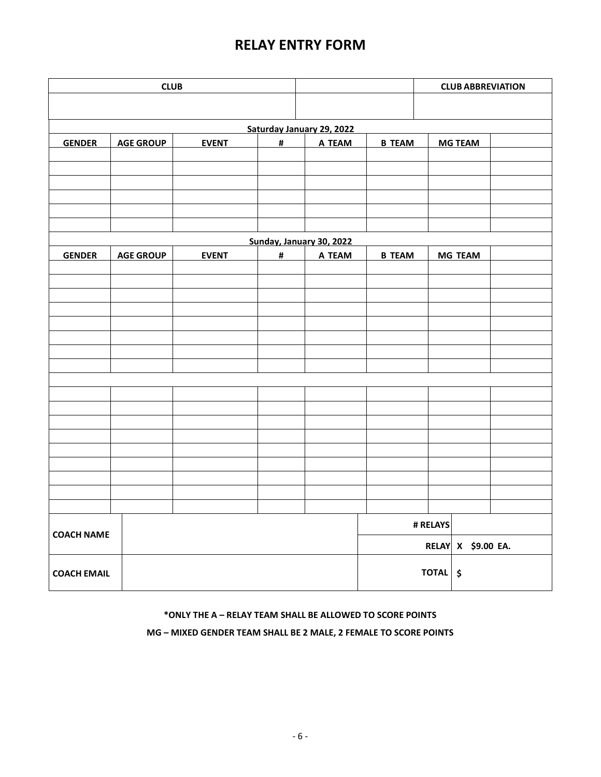# **RELAY ENTRY FORM**

|                    | <b>CLUB</b>      |              |                           |                          |               | <b>CLUB ABBREVIATION</b> |                |  |
|--------------------|------------------|--------------|---------------------------|--------------------------|---------------|--------------------------|----------------|--|
|                    |                  |              |                           |                          |               |                          |                |  |
|                    |                  |              | Saturday January 29, 2022 |                          |               |                          |                |  |
| <b>GENDER</b>      | <b>AGE GROUP</b> | <b>EVENT</b> | #                         | A TEAM                   | <b>B TEAM</b> |                          | <b>MG TEAM</b> |  |
|                    |                  |              |                           |                          |               |                          |                |  |
|                    |                  |              |                           |                          |               |                          |                |  |
|                    |                  |              |                           |                          |               |                          |                |  |
|                    |                  |              |                           |                          |               |                          |                |  |
|                    |                  |              |                           |                          |               |                          |                |  |
|                    |                  |              |                           | Sunday, January 30, 2022 |               |                          |                |  |
| <b>GENDER</b>      | <b>AGE GROUP</b> | <b>EVENT</b> | $\pmb{\sharp}$            | A TEAM                   | <b>B TEAM</b> |                          | <b>MG TEAM</b> |  |
|                    |                  |              |                           |                          |               |                          |                |  |
|                    |                  |              |                           |                          |               |                          |                |  |
|                    |                  |              |                           |                          |               |                          |                |  |
|                    |                  |              |                           |                          |               |                          |                |  |
|                    |                  |              |                           |                          |               |                          |                |  |
|                    |                  |              |                           |                          |               |                          |                |  |
|                    |                  |              |                           |                          |               |                          |                |  |
|                    |                  |              |                           |                          |               |                          |                |  |
|                    |                  |              |                           |                          |               |                          |                |  |
|                    |                  |              |                           |                          |               |                          |                |  |
|                    |                  |              |                           |                          |               |                          |                |  |
|                    |                  |              |                           |                          |               |                          |                |  |
|                    |                  |              |                           |                          |               |                          |                |  |
|                    |                  |              |                           |                          |               |                          |                |  |
|                    |                  |              |                           |                          |               |                          |                |  |
|                    |                  |              |                           |                          |               |                          |                |  |
|                    |                  |              |                           |                          |               | # RELAYS                 |                |  |
| <b>COACH NAME</b>  |                  |              |                           |                          |               |                          |                |  |
|                    |                  |              |                           |                          |               | RELAY X \$9.00 EA.       |                |  |
|                    |                  |              |                           |                          | TOTAL \$      |                          |                |  |
| <b>COACH EMAIL</b> |                  |              |                           |                          |               |                          |                |  |

# **\*ONLY THE A – RELAY TEAM SHALL BE ALLOWED TO SCORE POINTS**

**MG – MIXED GENDER TEAM SHALL BE 2 MALE, 2 FEMALE TO SCORE POINTS**